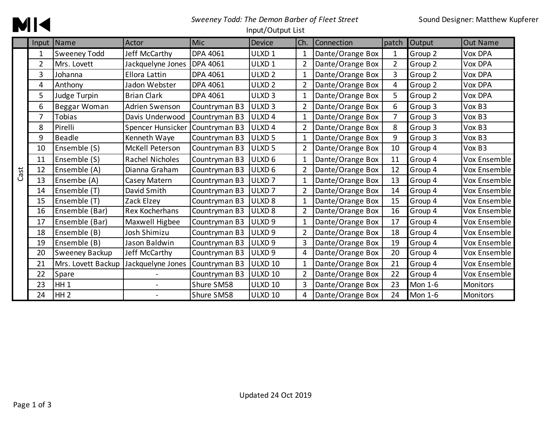## **MK**

## *Sweeney Todd: The Demon Barber of Fleet Street*

#### Input/Output List

|      |                | Input Name          | Actor              | Mic           | <b>Device</b>      | Ch.            | Connection       | patch          | Output  | <b>Out Name</b> |
|------|----------------|---------------------|--------------------|---------------|--------------------|----------------|------------------|----------------|---------|-----------------|
|      |                | <b>Sweeney Todd</b> | Jeff McCarthy      | DPA 4061      | ULXD <sub>1</sub>  | 1              | Dante/Orange Box | 1              | Group 2 | <b>Vox DPA</b>  |
|      | $\overline{2}$ | Mrs. Lovett         | Jackquelyne Jones  | DPA 4061      | ULXD <sub>1</sub>  | $\overline{2}$ | Dante/Orange Box | $\overline{2}$ | Group 2 | Vox DPA         |
|      | 3              | Johanna             | Ellora Lattin      | DPA 4061      | ULXD <sub>2</sub>  | 1              | Dante/Orange Box | 3              | Group 2 | Vox DPA         |
|      | 4              | Anthony             | Jadon Webster      | DPA 4061      | ULXD <sub>2</sub>  | $\overline{2}$ | Dante/Orange Box | 4              | Group 2 | Vox DPA         |
|      | 5              | Judge Turpin        | <b>Brian Clark</b> | DPA 4061      | ULXD <sub>3</sub>  | 1              | Dante/Orange Box | 5              | Group 2 | Vox DPA         |
|      | 6              | Beggar Woman        | Adrien Swenson     | Countryman B3 | ULXD <sub>3</sub>  | $\overline{2}$ | Dante/Orange Box | 6              | Group 3 | Vox B3          |
|      | $\overline{7}$ | <b>Tobias</b>       | Davis Underwood    | Countryman B3 | ULXD <sub>4</sub>  | 1              | Dante/Orange Box | 7              | Group 3 | Vox B3          |
|      | 8              | Pirelli             | Spencer Hunsicker  | Countryman B3 | ULXD <sub>4</sub>  | $\overline{2}$ | Dante/Orange Box | 8              | Group 3 | Vox B3          |
|      | 9              | <b>Beadle</b>       | Kenneth Waye       | Countryman B3 | ULXD <sub>5</sub>  | $\mathbf{1}$   | Dante/Orange Box | 9              | Group 3 | Vox B3          |
|      | 10             | Ensemble (S)        | McKell Peterson    | Countryman B3 | ULXD <sub>5</sub>  | 2              | Dante/Orange Box | 10             | Group 4 | Vox B3          |
|      | 11             | Ensemble (S)        | Rachel Nicholes    | Countryman B3 | ULXD <sub>6</sub>  | $\mathbf{1}$   | Dante/Orange Box | 11             | Group 4 | Vox Ensemble    |
| Cast | 12             | Ensemble (A)        | Dianna Graham      | Countryman B3 | ULXD <sub>6</sub>  | $\overline{2}$ | Dante/Orange Box | 12             | Group 4 | Vox Ensemble    |
|      | 13             | Ensembe (A)         | Casey Matern       | Countryman B3 | ULXD <sub>7</sub>  | 1              | Dante/Orange Box | 13             | Group 4 | Vox Ensemble    |
|      | 14             | Ensemble (T)        | David Smith        | Countryman B3 | ULXD <sub>7</sub>  | $\overline{2}$ | Dante/Orange Box | 14             | Group 4 | Vox Ensemble    |
|      | 15             | Ensemble (T)        | Zack Elzey         | Countryman B3 | ULXD <sub>8</sub>  | 1              | Dante/Orange Box | 15             | Group 4 | Vox Ensemble    |
|      | 16             | Ensemble (Bar)      | Rex Kocherhans     | Countryman B3 | ULXD <sub>8</sub>  | $\overline{2}$ | Dante/Orange Box | 16             | Group 4 | Vox Ensemble    |
|      | 17             | Ensemble (Bar)      | Maxwell Higbee     | Countryman B3 | ULXD <sub>9</sub>  | 1              | Dante/Orange Box | 17             | Group 4 | Vox Ensemble    |
|      | 18             | Ensemble (B)        | Josh Shimizu       | Countryman B3 | ULXD <sub>9</sub>  | $\overline{2}$ | Dante/Orange Box | 18             | Group 4 | Vox Ensemble    |
|      | 19             | Ensemble (B)        | Jason Baldwin      | Countryman B3 | ULXD <sub>9</sub>  | 3              | Dante/Orange Box | 19             | Group 4 | Vox Ensemble    |
|      | 20             | Sweeney Backup      | Jeff McCarthy      | Countryman B3 | ULXD <sub>9</sub>  | 4              | Dante/Orange Box | 20             | Group 4 | Vox Ensemble    |
|      | 21             | Mrs. Lovett Backup  | Jackquelyne Jones  | Countryman B3 | ULXD <sub>10</sub> | 1              | Dante/Orange Box | 21             | Group 4 | Vox Ensemble    |
|      | 22             | Spare               |                    | Countryman B3 | <b>ULXD 10</b>     | $\overline{2}$ | Dante/Orange Box | 22             | Group 4 | Vox Ensemble    |
|      | 23             | HH <sub>1</sub>     |                    | Shure SM58    | ULXD <sub>10</sub> | 3              | Dante/Orange Box | 23             | Mon 1-6 | Monitors        |
|      | 24             | HH <sub>2</sub>     |                    | Shure SM58    | ULXD <sub>10</sub> | 4              | Dante/Orange Box | 24             | Mon 1-6 | Monitors        |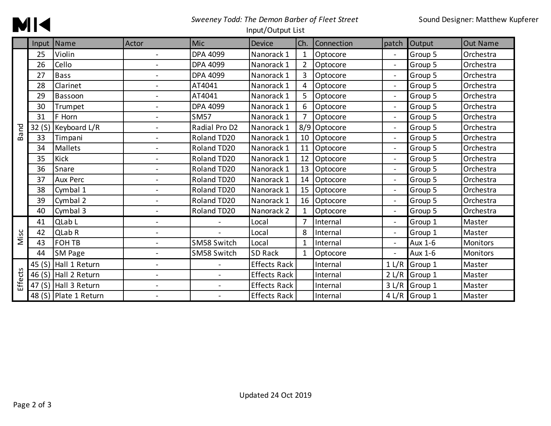

### *Sweeney Todd: The Demon Barber of Fleet Street*

#### Input/Output List

|                |        | Input Name            | Actor                    | Mic                      | Device              | Ch.            | Connection | patch          | <b>Output</b> | <b>Out Name</b> |
|----------------|--------|-----------------------|--------------------------|--------------------------|---------------------|----------------|------------|----------------|---------------|-----------------|
|                | 25     | Violin                |                          | <b>DPA 4099</b>          | Nanorack 1          | 1              | Optocore   |                | Group 5       | Orchestra       |
|                | 26     | Cello                 |                          | <b>DPA 4099</b>          | Nanorack 1          | $\overline{2}$ | Optocore   | $\blacksquare$ | Group 5       | Orchestra       |
|                | 27     | <b>Bass</b>           |                          | <b>DPA 4099</b>          | Nanorack 1          | 3              | Optocore   | $\blacksquare$ | Group 5       | Orchestra       |
|                | 28     | Clarinet              |                          | AT4041                   | Nanorack 1          | 4              | Optocore   | $\blacksquare$ | Group 5       | Orchestra       |
|                | 29     | Bassoon               |                          | AT4041                   | Nanorack 1          | 5              | Optocore   | $\blacksquare$ | Group 5       | Orchestra       |
|                | 30     | Trumpet               |                          | <b>DPA 4099</b>          | Nanorack 1          | 6              | Optocore   | $\overline{a}$ | Group 5       | Orchestra       |
|                | 31     | F Horn                | $\overline{a}$           | <b>SM57</b>              | Nanorack 1          | $\overline{7}$ | Optocore   | $\blacksquare$ | Group 5       | Orchestra       |
| <b>Band</b>    | 32(S)  | Keyboard L/R          | $\overline{a}$           | Radial Pro D2            | Nanorack 1          | 8/9            | Optocore   | $\blacksquare$ | Group 5       | Orchestra       |
|                | 33     | Timpani               | $\overline{a}$           | Roland TD20              | Nanorack 1          | 10             | Optocore   | $\blacksquare$ | Group 5       | Orchestra       |
|                | 34     | Mallets               |                          | Roland TD20              | Nanorack 1          | 11             | Optocore   | $\blacksquare$ | Group 5       | Orchestra       |
|                | 35     | Kick                  |                          | Roland TD20              | Nanorack 1          | 12             | Optocore   | $\blacksquare$ | Group 5       | Orchestra       |
|                | 36     | Snare                 |                          | Roland TD20              | Nanorack 1          | 13             | Optocore   | $\sim$         | Group 5       | Orchestra       |
|                | 37     | Aux Perc              |                          | Roland TD20              | Nanorack 1          | 14             | Optocore   | $\blacksquare$ | Group 5       | Orchestra       |
|                | 38     | Cymbal 1              | $\overline{a}$           | Roland TD20              | Nanorack 1          | 15             | Optocore   | $\sim$         | Group 5       | Orchestra       |
|                | 39     | Cymbal 2              | $\blacksquare$           | Roland TD20              | Nanorack 1          | 16             | Optocore   | $\sim$         | Group 5       | Orchestra       |
|                | 40     | Cymbal 3              | $\blacksquare$           | Roland TD20              | Nanorack 2          | 1              | Optocore   | $\blacksquare$ | Group 5       | Orchestra       |
|                | 41     | QLab L                | $\overline{a}$           |                          | Local               | 7              | Internal   | $\sim$         | Group 1       | Master          |
| Misc           | 42     | QLab R                | $\overline{a}$           |                          | Local               | 8              | Internal   | $\blacksquare$ | Group 1       | Master          |
|                | 43     | FOH TB                | $\overline{\phantom{a}}$ | SM58 Switch              | Local               | 1              | Internal   | $\sim$         | Aux 1-6       | <b>Monitors</b> |
|                | 44     | <b>SM Page</b>        | $\overline{\phantom{a}}$ | SM58 Switch              | <b>SD Rack</b>      | $\mathbf{1}$   | Optocore   | $\blacksquare$ | Aux 1-6       | Monitors        |
| <b>Effects</b> | 45 (S) | Hall 1 Return         | $\overline{a}$           |                          | <b>Effects Rack</b> |                | Internal   | 1 L/R          | Group 1       | Master          |
|                | 46 (S) | Hall 2 Return         | $\overline{a}$           | $\overline{\phantom{0}}$ | <b>Effects Rack</b> |                | Internal   | 2 L/R          | Group 1       | Master          |
|                | 47 (S) | Hall 3 Return         | $\overline{a}$           | $\blacksquare$           | <b>Effects Rack</b> |                | Internal   | 3 L/R          | Group 1       | Master          |
|                |        | 48 (S) Plate 1 Return | $\overline{\phantom{a}}$ |                          | <b>Effects Rack</b> |                | Internal   |                | 4 L/R Group 1 | Master          |